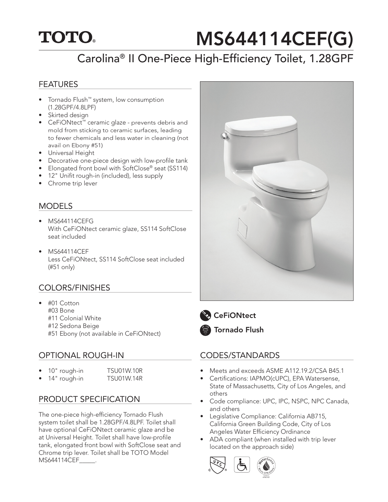## **TOTO.**

# MS644114CEF(G)

## Carolina® II One-Piece High-Efficiency Toilet, 1.28GPF

#### FEATURES

- Tornado Flush™ system, low consumption (1.28GPF/4.8LPF)
- Skirted design
- CeFiONtect™ ceramic glaze prevents debris and mold from sticking to ceramic surfaces, leading to fewer chemicals and less water in cleaning (not avail on Ebony #51)
- Universal Height
- Decorative one-piece design with low-profile tank
- Elongated front bowl with SoftClose® seat (SS114)
- 12" Unifit rough-in (included), less supply
- Chrome trip lever

#### MODELS

- MS644114CEFG With CeFiONtect ceramic glaze, SS114 SoftClose seat included
- MS644114CEF Less CeFiONtect, SS114 SoftClose seat included (#51 only)

#### COLORS/FINISHES

- #01 Cotton #03 Bone #11 Colonial White #12 Sedona Beige
	- #51 Ebony (not available in CeFiONtect)

#### OPTIONAL ROUGH-IN

- 10" rough-in TSU01W.10R
- 14" rough-in TSU01W.14R

#### PRODUCT SPECIFICATION

The one-piece high-efficiency Tornado Flush system toilet shall be 1.28GPF/4.8LPF. Toilet shall have optional CeFiONtect ceramic glaze and be at Universal Height. Toilet shall have low-profile tank, elongated front bowl with SoftClose seat and Chrome trip lever. Toilet shall be TOTO Model MS644114CEF\_\_\_\_\_.





**CeFiONtect** 

Tornado Flush

#### CODES/STANDARDS

- Meets and exceeds ASME A112.19.2/CSA B45.1
- Certifications: IAPMO(cUPC), EPA Watersense, State of Massachusetts, City of Los Angeles, and others
- Code compliance: UPC, IPC, NSPC, NPC Canada, and others
- Legislative Compliance: California AB715, California Green Building Code, City of Los Angeles Water Efficiency Ordinance
- ADA compliant (when installed with trip lever located on the approach side)